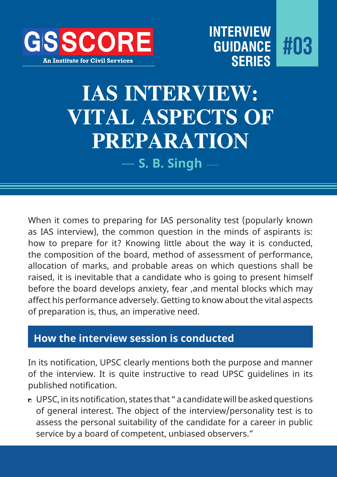

## **IAS INTERVIEW: VITAL ASPECTS OF PREPARATION**

**S. B. Singh**

When it comes to preparing for IAS personality test (popularly known as IAS interview), the common question in the minds of aspirants is: how to prepare for it? Knowing little about the way it is conducted, the composition of the board, method of assessment of performance, allocation of marks, and probable areas on which questions shall be raised, it is inevitable that a candidate who is going to present himself before the board develops anxiety, fear ,and mental blocks which may affect his performance adversely. Getting to know about the vital aspects of preparation is, thus, an imperative need.

## **How the interview session is conducted**

In its notification, UPSC clearly mentions both the purpose and manner of the interview. It is quite instructive to read UPSC guidelines in its published notification.

 UPSC, in its notification, states that " a candidate will be asked questions of general interest. The object of the interview/personality test is to assess the personal suitability of the candidate for a career in public service by a board of competent, unbiased observers."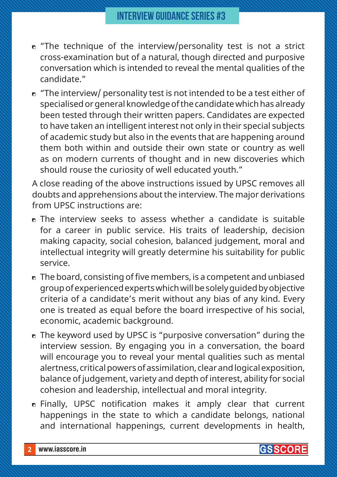- $\epsilon$  "The technique of the interview/personality test is not a strict cross-examination but of a natural, though directed and purposive conversation which is intended to reveal the mental qualities of the candidate."
- $\overline{p}$  "The interview/ personality test is not intended to be a test either of specialised or general knowledge of the candidate which has already been tested through their written papers. Candidates are expected to have taken an intelligent interest not only in their special subjects of academic study but also in the events that are happening around them both within and outside their own state or country as well as on modern currents of thought and in new discoveries which should rouse the curiosity of well educated youth."

A close reading of the above instructions issued by UPSC removes all doubts and apprehensions about the interview. The major derivations from UPSC instructions are:

- n The interview seeks to assess whether a candidate is suitable for a career in public service. His traits of leadership, decision making capacity, social cohesion, balanced judgement, moral and intellectual integrity will greatly determine his suitability for public service.
- $\bullet$  The board, consisting of five members, is a competent and unbiased group of experienced experts which will be solely guided by objective criteria of a candidate's merit without any bias of any kind. Every one is treated as equal before the board irrespective of his social, economic, academic background.
- **n** The keyword used by UPSC is "purposive conversation" during the interview session. By engaging you in a conversation, the board will encourage you to reveal your mental qualities such as mental alertness, critical powers of assimilation, clear and logical exposition, balance of judgement, variety and depth of interest, ability for social cohesion and leadership, intellectual and moral integrity.
- Finally, UPSC notification makes it amply clear that current happenings in the state to which a candidate belongs, national and international happenings, current developments in health,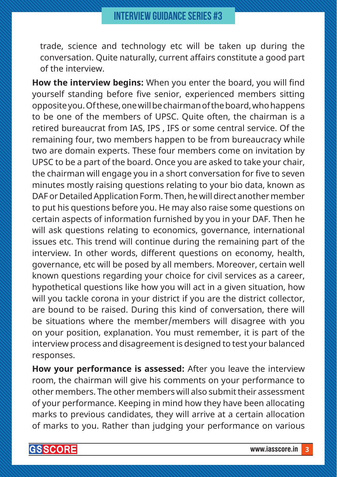trade, science and technology etc will be taken up during the conversation. Quite naturally, current affairs constitute a good part of the interview.

**How the interview begins:** When you enter the board, you will find yourself standing before five senior, experienced members sitting opposite you. Of these, one will be chairman of the board, who happens to be one of the members of UPSC. Quite often, the chairman is a retired bureaucrat from IAS, IPS , IFS or some central service. Of the remaining four, two members happen to be from bureaucracy while two are domain experts. These four members come on invitation by UPSC to be a part of the board. Once you are asked to take your chair, the chairman will engage you in a short conversation for five to seven minutes mostly raising questions relating to your bio data, known as DAF or Detailed Application Form. Then, he will direct another member to put his questions before you. He may also raise some questions on certain aspects of information furnished by you in your DAF. Then he will ask questions relating to economics, governance, international issues etc. This trend will continue during the remaining part of the interview. In other words, different questions on economy, health, governance, etc will be posed by all members. Moreover, certain well known questions regarding your choice for civil services as a career, hypothetical questions like how you will act in a given situation, how will you tackle corona in your district if you are the district collector, are bound to be raised. During this kind of conversation, there will be situations where the member/members will disagree with you on your position, explanation. You must remember, it is part of the interview process and disagreement is designed to test your balanced responses.

**How your performance is assessed:** After you leave the interview room, the chairman will give his comments on your performance to other members. The other members will also submit their assessment of your performance. Keeping in mind how they have been allocating marks to previous candidates, they will arrive at a certain allocation of marks to you. Rather than judging your performance on various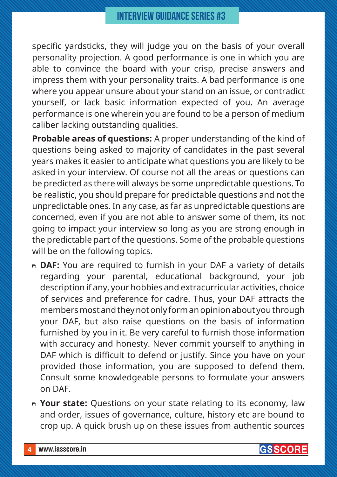specific yardsticks, they will judge you on the basis of your overall personality projection. A good performance is one in which you are able to convince the board with your crisp, precise answers and impress them with your personality traits. A bad performance is one where you appear unsure about your stand on an issue, or contradict yourself, or lack basic information expected of you. An average performance is one wherein you are found to be a person of medium caliber lacking outstanding qualities.

**Probable areas of questions:** A proper understanding of the kind of questions being asked to majority of candidates in the past several years makes it easier to anticipate what questions you are likely to be asked in your interview. Of course not all the areas or questions can be predicted as there will always be some unpredictable questions. To be realistic, you should prepare for predictable questions and not the unpredictable ones. In any case, as far as unpredictable questions are concerned, even if you are not able to answer some of them, its not going to impact your interview so long as you are strong enough in the predictable part of the questions. Some of the probable questions will be on the following topics.

- **DAF:** You are required to furnish in your DAF a variety of details regarding your parental, educational background, your job description if any, your hobbies and extracurricular activities, choice of services and preference for cadre. Thus, your DAF attracts the members most and they not only form an opinion about you through your DAF, but also raise questions on the basis of information furnished by you in it. Be very careful to furnish those information with accuracy and honesty. Never commit yourself to anything in DAF which is difficult to defend or justify. Since you have on your provided those information, you are supposed to defend them. Consult some knowledgeable persons to formulate your answers on DAF.
- **Your state:** Questions on your state relating to its economy, law and order, issues of governance, culture, history etc are bound to crop up. A quick brush up on these issues from authentic sources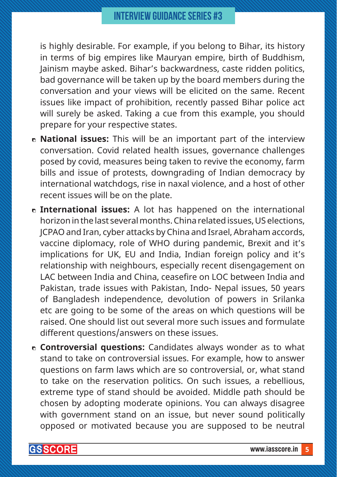## **INTERVIEW GUIDANCE SERIES #3**

is highly desirable. For example, if you belong to Bihar, its history in terms of big empires like Mauryan empire, birth of Buddhism, Jainism maybe asked. Bihar's backwardness, caste ridden politics, bad governance will be taken up by the board members during the conversation and your views will be elicited on the same. Recent issues like impact of prohibition, recently passed Bihar police act will surely be asked. Taking a cue from this example, you should prepare for your respective states.

- **National issues:** This will be an important part of the interview conversation. Covid related health issues, governance challenges posed by covid, measures being taken to revive the economy, farm bills and issue of protests, downgrading of Indian democracy by international watchdogs, rise in naxal violence, and a host of other recent issues will be on the plate.
- **International issues:** A lot has happened on the international horizon in the last several months. China related issues, US elections, JCPAO and Iran, cyber attacks by China and Israel, Abraham accords, vaccine diplomacy, role of WHO during pandemic, Brexit and it's implications for UK, EU and India, Indian foreign policy and it's relationship with neighbours, especially recent disengagement on LAC between India and China, ceasefire on LOC between India and Pakistan, trade issues with Pakistan, Indo- Nepal issues, 50 years of Bangladesh independence, devolution of powers in Srilanka etc are going to be some of the areas on which questions will be raised. One should list out several more such issues and formulate different questions/answers on these issues.
- **Controversial questions:** Candidates always wonder as to what stand to take on controversial issues. For example, how to answer questions on farm laws which are so controversial, or, what stand to take on the reservation politics. On such issues, a rebellious, extreme type of stand should be avoided. Middle path should be chosen by adopting moderate opinions. You can always disagree with government stand on an issue, but never sound politically opposed or motivated because you are supposed to be neutral